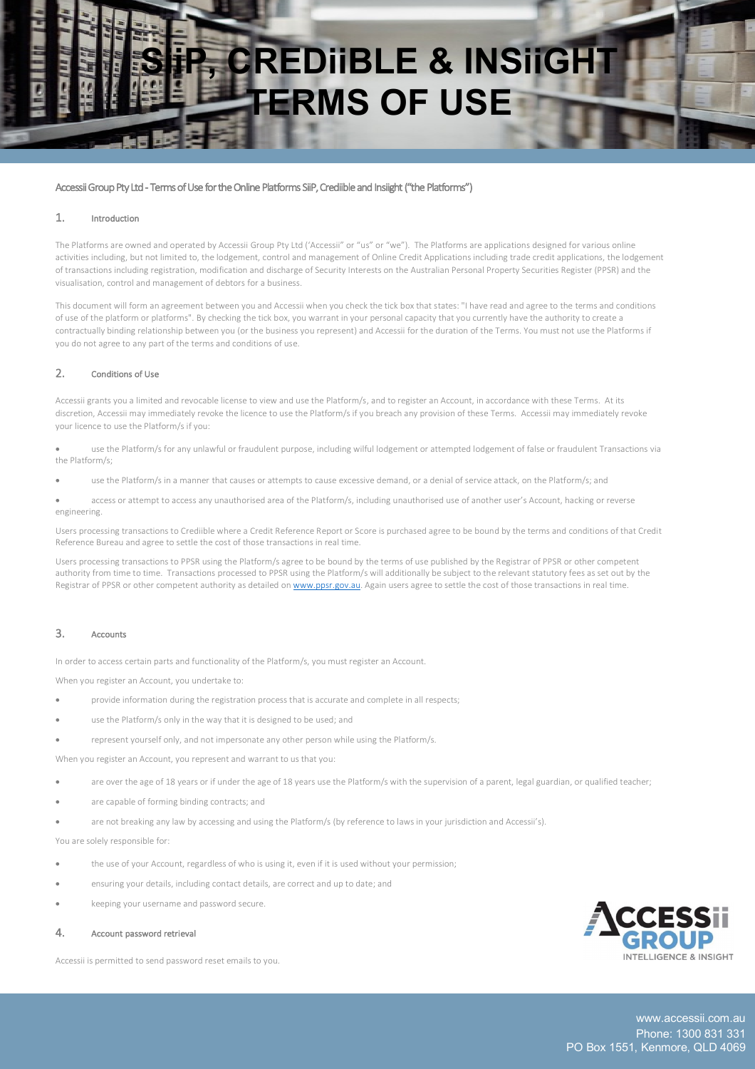# **SINSTER & INSIIGHT TERMS OF USE**

## Accessii Group Pty Ltd - Terms of Use for the Online Platforms SiiP, Crediible and Insiight ("the Platforms")

#### 1. Introduction

The Platforms are owned and operated by Accessii Group Pty Ltd ('Accessii" or "us" or "we"). The Platforms are applications designed for various online activities including, but not limited to, the lodgement, control and management of Online Credit Applications including trade credit applications, the lodgement of transactions including registration, modification and discharge of Security Interests on the Australian Personal Property Securities Register (PPSR) and the visualisation, control and management of debtors for a business.

This document will form an agreement between you and Accessii when you check the tick box that states: "I have read and agree to the terms and conditions of use of the platform or platforms". By checking the tick box, you warrant in your personal capacity that you currently have the authority to create a contractually binding relationship between you (or the business you represent) and Accessii for the duration of the Terms. You must not use the Platforms if you do not agree to any part of the terms and conditions of use.

#### 2. Conditions of Use

Accessii grants you a limited and revocable license to view and use the Platform/s, and to register an Account, in accordance with these Terms. At its discretion, Accessii may immediately revoke the licence to use the Platform/s if you breach any provision of these Terms. Accessii may immediately revoke your licence to use the Platform/s if you:

• use the Platform/s for any unlawful or fraudulent purpose, including wilful lodgement or attempted lodgement of false or fraudulent Transactions via the Platform/s;

use the Platform/s in a manner that causes or attempts to cause excessive demand, or a denial of service attack, on the Platform/s; and

• access or attempt to access any unauthorised area of the Platform/s, including unauthorised use of another user's Account, hacking or reverse engineering.

Users processing transactions to Crediible where a Credit Reference Report or Score is purchased agree to be bound by the terms and conditions of that Credit Reference Bureau and agree to settle the cost of those transactions in real time.

Users processing transactions to PPSR using the Platform/s agree to be bound by the terms of use published by the Registrar of PPSR or other competent authority from time to time. Transactions processed to PPSR using the Platform/s will additionally be subject to the relevant statutory fees as set out by the Registrar of PPSR or other competent authority as detailed on www.ppsr.gov.au. Again users agree to settle the cost of those transactions in real time.

# 3. Accounts

In order to access certain parts and functionality of the Platform/s, you must register an Account.

When you register an Account, you undertake to:

- provide information during the registration process that is accurate and complete in all respects;
- use the Platform/s only in the way that it is designed to be used; and
- represent yourself only, and not impersonate any other person while using the Platform/s.

When you register an Account, you represent and warrant to us that you:

- are over the age of 18 years or if under the age of 18 years use the Platform/s with the supervision of a parent, legal guardian, or qualified teacher;
- are capable of forming binding contracts; and
- are not breaking any law by accessing and using the Platform/s (by reference to laws in your jurisdiction and Accessii's).

You are solely responsible for:

- the use of your Account, regardless of who is using it, even if it is used without your permission;
- ensuring your details, including contact details, are correct and up to date; and
- keeping your username and password secure.

#### 4. Account password retrieval

Accessii is permitted to send password reset emails to you.

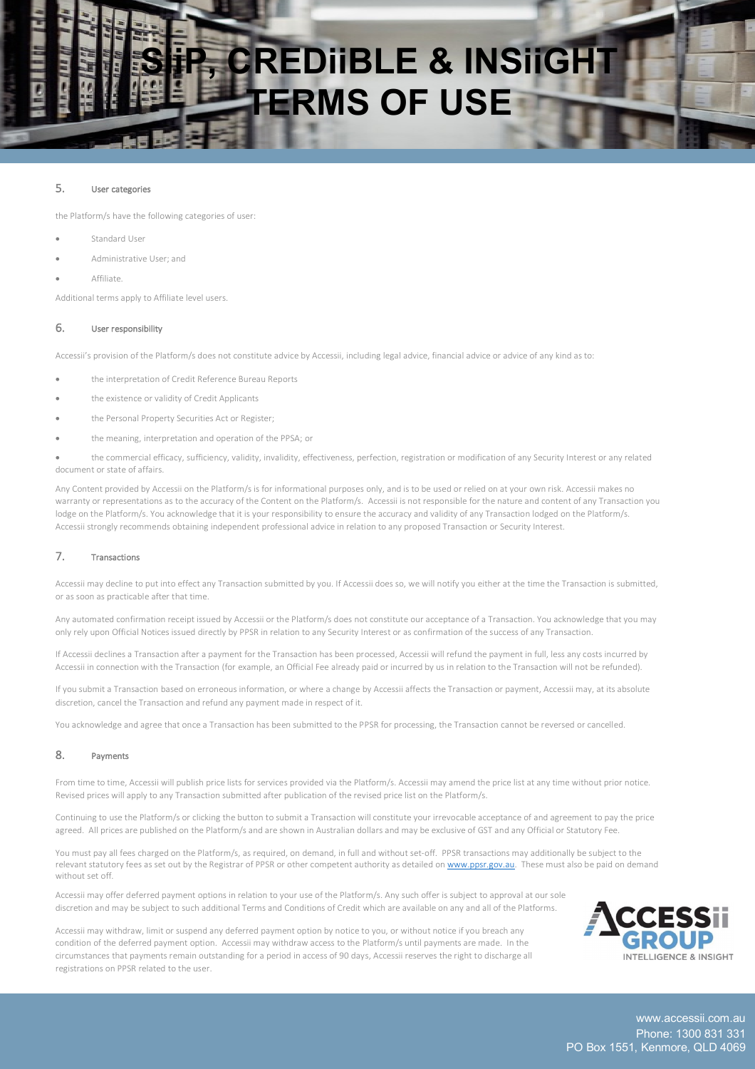# **CREDIIBLE & INSIIGHT TERMS OF USE**

# 5. User categories

the Platform/s have the following categories of user:

- Standard User
- Administrative User; and
- Affiliate.

Additional terms apply to Affiliate level users.

#### 6. User responsibility

Accessii's provision of the Platform/s does not constitute advice by Accessii, including legal advice, financial advice or advice of any kind as to:

- the interpretation of Credit Reference Bureau Reports
- the existence or validity of Credit Applicants
- the Personal Property Securities Act or Register:
- the meaning, interpretation and operation of the PPSA; or
- the commercial efficacy, sufficiency, validity, invalidity, effectiveness, perfection, registration or modification of any Security Interest or any related document or state of affairs.

Any Content provided by Accessii on the Platform/s is for informational purposes only, and is to be used or relied on at your own risk. Accessii makes no warranty or representations as to the accuracy of the Content on the Platform/s. Accessii is not responsible for the nature and content of any Transaction you lodge on the Platform/s. You acknowledge that it is your responsibility to ensure the accuracy and validity of any Transaction lodged on the Platform/s. Accessii strongly recommends obtaining independent professional advice in relation to any proposed Transaction or Security Interest.

# 7. Transactions

Accessii may decline to put into effect any Transaction submitted by you. If Accessii does so, we will notify you either at the time the Transaction is submitted, or as soon as practicable after that time.

Any automated confirmation receipt issued by Accessii or the Platform/s does not constitute our acceptance of a Transaction. You acknowledge that you may only rely upon Official Notices issued directly by PPSR in relation to any Security Interest or as confirmation of the success of any Transaction.

If Accessii declines a Transaction after a payment for the Transaction has been processed, Accessii will refund the payment in full, less any costs incurred by Accessii in connection with the Transaction (for example, an Official Fee already paid or incurred by us in relation to the Transaction will not be refunded).

If you submit a Transaction based on erroneous information, or where a change by Accessii affects the Transaction or payment, Accessii may, at its absolute discretion, cancel the Transaction and refund any payment made in respect of it.

You acknowledge and agree that once a Transaction has been submitted to the PPSR for processing, the Transaction cannot be reversed or cancelled.

#### 8. Payments

From time to time, Accessii will publish price lists for services provided via the Platform/s. Accessii may amend the price list at any time without prior notice. Revised prices will apply to any Transaction submitted after publication of the revised price list on the Platform/s.

Continuing to use the Platform/s or clicking the button to submit a Transaction will constitute your irrevocable acceptance of and agreement to pay the price agreed. All prices are published on the Platform/s and are shown in Australian dollars and may be exclusive of GST and any Official or Statutory Fee.

You must pay all fees charged on the Platform/s, as required, on demand, in full and without set-off. PPSR transactions may additionally be subject to the relevant statutory fees as set out by the Registrar of PPSR or other competent authority as detailed on www.ppsr.gov.au. These must also be paid on demand without set off.

Accessii may offer deferred payment options in relation to your use of the Platform/s. Any such offer is subject to approval at our sole discretion and may be subject to such additional Terms and Conditions of Credit which are available on any and all of the Platforms.

Accessii may withdraw, limit or suspend any deferred payment option by notice to you, or without notice if you breach any condition of the deferred payment option. Accessii may withdraw access to the Platform/s until payments are made. In the circumstances that payments remain outstanding for a period in access of 90 days, Accessii reserves the right to discharge all registrations on PPSR related to the user.

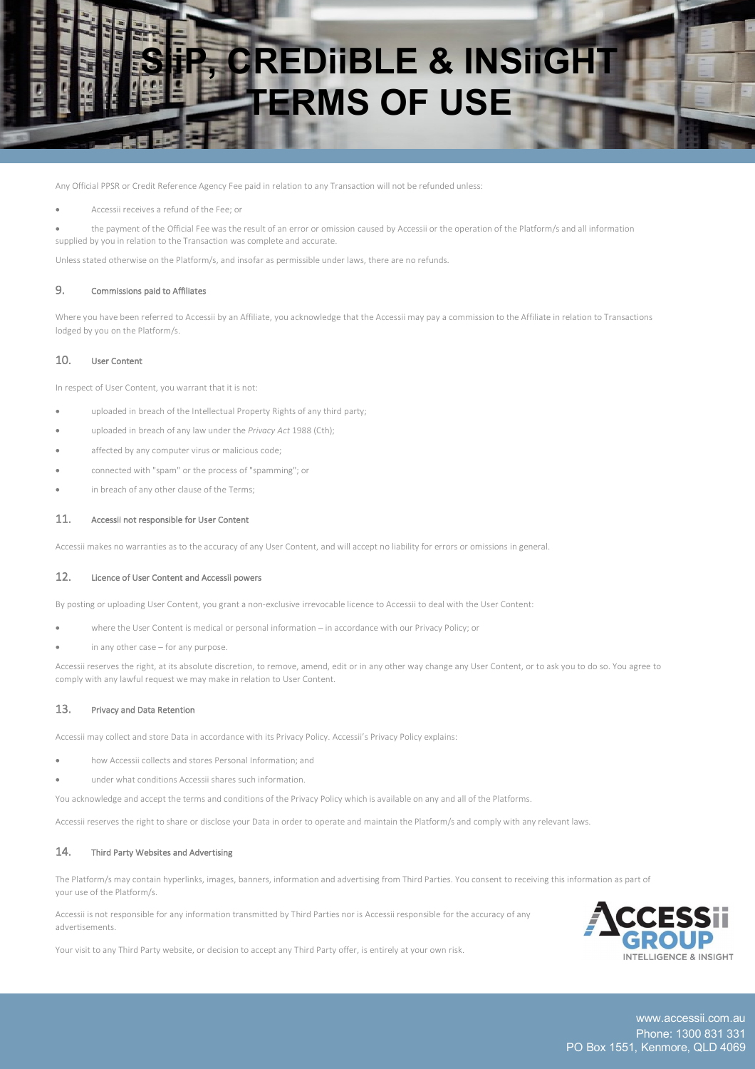

Any Official PPSR or Credit Reference Agency Fee paid in relation to any Transaction will not be refunded unless:

- Accessii receives a refund of the Fee; or
- the payment of the Official Fee was the result of an error or omission caused by Accessii or the operation of the Platform/s and all information supplied by you in relation to the Transaction was complete and accurate.

Unless stated otherwise on the Platform/s, and insofar as permissible under laws, there are no refunds.

# 9. Commissions paid to Affiliates

Where you have been referred to Accessii by an Affiliate, you acknowledge that the Accessii may pay a commission to the Affiliate in relation to Transactions lodged by you on the Platform/s.

#### 10. User Content

In respect of User Content, you warrant that it is not:

- uploaded in breach of the Intellectual Property Rights of any third party;
- uploaded in breach of any law under the *Privacy Act* 1988 (Cth);
- affected by any computer virus or malicious code;
- connected with "spam" or the process of "spamming"; or
- in breach of any other clause of the Terms;

#### 11. Accessii not responsible for User Content

Accessii makes no warranties as to the accuracy of any User Content, and will accept no liability for errors or omissions in general.

#### 12. Licence of User Content and Accessii powers

By posting or uploading User Content, you grant a non-exclusive irrevocable licence to Accessii to deal with the User Content:

- where the User Content is medical or personal information in accordance with our Privacy Policy; or
- in any other case for any purpose.

Accessii reserves the right, at its absolute discretion, to remove, amend, edit or in any other way change any User Content, or to ask you to do so. You agree to comply with any lawful request we may make in relation to User Content.

# 13. Privacy and Data Retention

Accessii may collect and store Data in accordance with its Privacy Policy. Accessii's Privacy Policy explains:

- how Accessii collects and stores Personal Information; and
- under what conditions Accessii shares such information.

You acknowledge and accept the terms and conditions of the Privacy Policy which is available on any and all of the Platforms.

Accessii reserves the right to share or disclose your Data in order to operate and maintain the Platform/s and comply with any relevant laws.

#### 14. Third Party Websites and Advertising

The Platform/s may contain hyperlinks, images, banners, information and advertising from Third Parties. You consent to receiving this information as part of your use of the Platform/s.

Accessii is not responsible for any information transmitted by Third Parties nor is Accessii responsible for the accuracy of any advertisements.



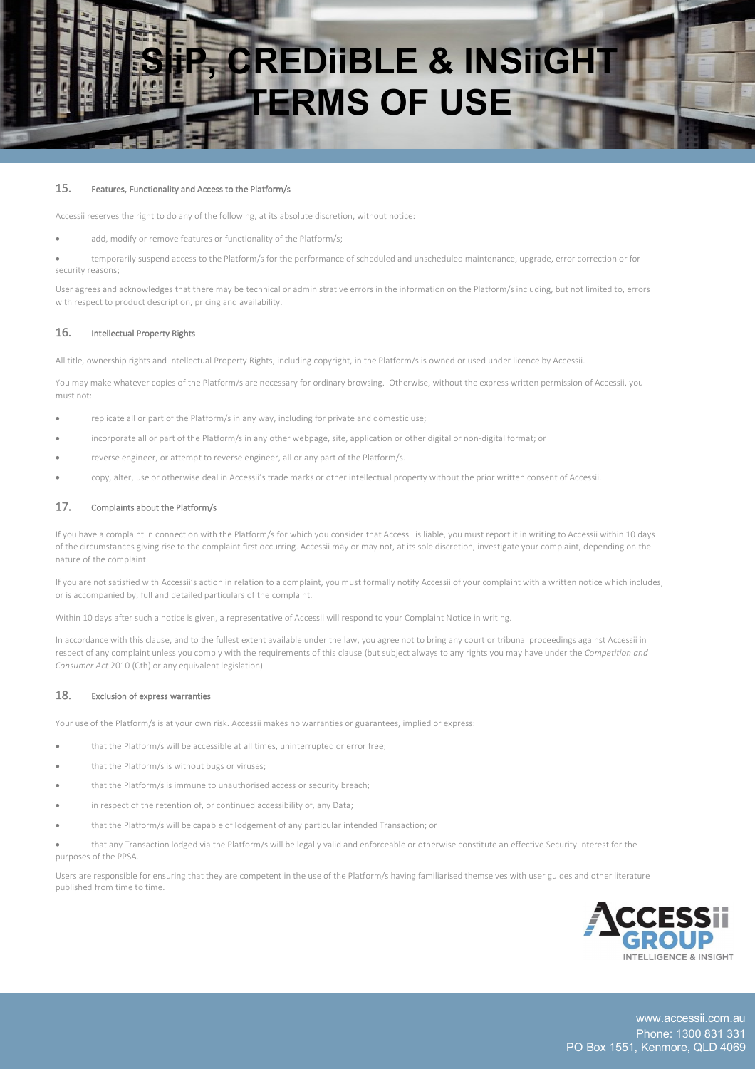

#### 15. Features, Functionality and Access to the Platform/s

Accessii reserves the right to do any of the following, at its absolute discretion, without notice:

add, modify or remove features or functionality of the Platform/s;

• temporarily suspend access to the Platform/s for the performance of scheduled and unscheduled maintenance, upgrade, error correction or for security reasons;

User agrees and acknowledges that there may be technical or administrative errors in the information on the Platform/s including, but not limited to, errors with respect to product description, pricing and availability.

#### 16. Intellectual Property Rights

All title, ownership rights and Intellectual Property Rights, including copyright, in the Platform/s is owned or used under licence by Accessii.

You may make whatever copies of the Platform/s are necessary for ordinary browsing. Otherwise, without the express written permission of Accessii, you must not:

- replicate all or part of the Platform/s in any way, including for private and domestic use;
- incorporate all or part of the Platform/s in any other webpage, site, application or other digital or non-digital format; or
- reverse engineer, or attempt to reverse engineer, all or any part of the Platform/s.
- copy, alter, use or otherwise deal in Accessii's trade marks or other intellectual property without the prior written consent of Accessii.

# 17. Complaints about the Platform/s

If you have a complaint in connection with the Platform/s for which you consider that Accessii is liable, you must report it in writing to Accessii within 10 days of the circumstances giving rise to the complaint first occurring. Accessii may or may not, at its sole discretion, investigate your complaint, depending on the nature of the complaint.

If you are not satisfied with Accessii's action in relation to a complaint, you must formally notify Accessii of your complaint with a written notice which includes, or is accompanied by, full and detailed particulars of the complaint.

Within 10 days after such a notice is given, a representative of Accessii will respond to your Complaint Notice in writing.

In accordance with this clause, and to the fullest extent available under the law, you agree not to bring any court or tribunal proceedings against Accessii in respect of any complaint unless you comply with the requirements of this clause (but subject always to any rights you may have under the *Competition and Consumer Act* 2010 (Cth) or any equivalent legislation).

#### 18. Exclusion of express warranties

Your use of the Platform/s is at your own risk. Accessii makes no warranties or guarantees, implied or express:

- that the Platform/s will be accessible at all times, uninterrupted or error free;
- that the Platform/s is without bugs or viruses:
- that the Platform/s is immune to unauthorised access or security breach;
- in respect of the retention of, or continued accessibility of, any Data:
- that the Platform/s will be capable of lodgement of any particular intended Transaction; or

• that any Transaction lodged via the Platform/s will be legally valid and enforceable or otherwise constitute an effective Security Interest for the purposes of the PPSA.

Users are responsible for ensuring that they are competent in the use of the Platform/s having familiarised themselves with user guides and other literature published from time to time.

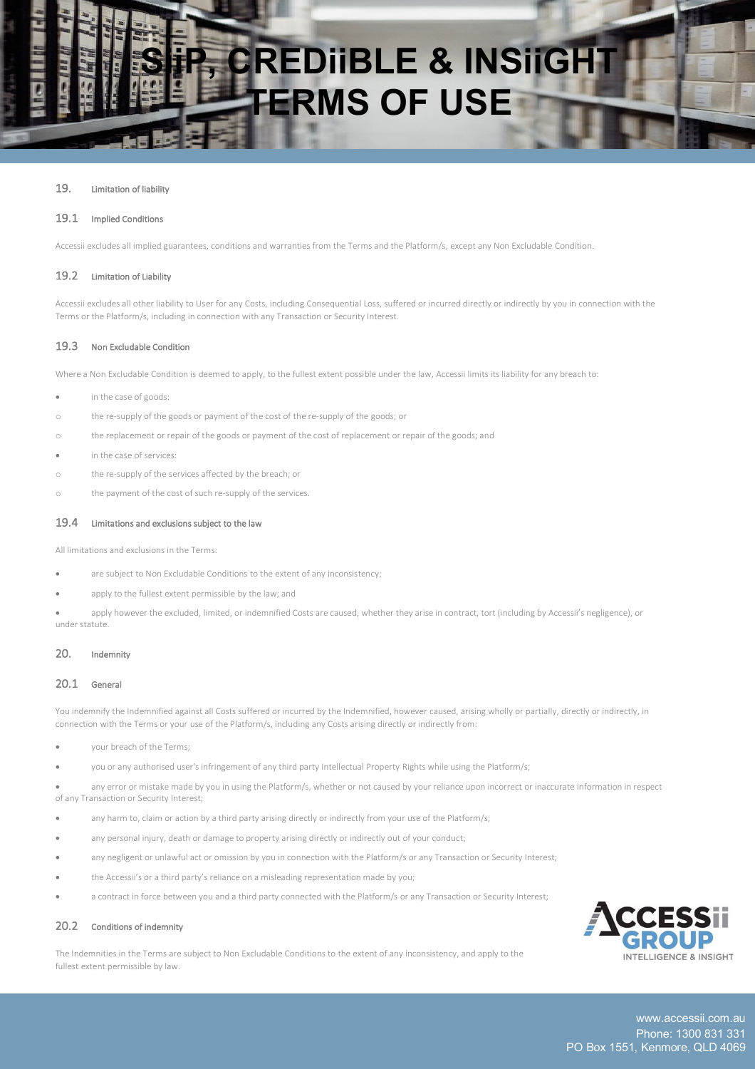

#### 19. Limitation of liability

#### 19.1 Implied Conditions

Accessii excludes all implied guarantees, conditions and warranties from the Terms and the Platform/s, except any Non Excludable Condition.

#### 19.2 Limitation of Liability

Accessii excludes all other liability to User for any Costs, including Consequential Loss, suffered or incurred directly or indirectly by you in connection with the Terms or the Platform/s, including in connection with any Transaction or Security Interest.

#### 19.3 Non Excludable Condition

Where a Non Excludable Condition is deemed to apply, to the fullest extent possible under the law, Accessii limits its liability for any breach to:

- in the case of goods:
- o the re-supply of the goods or payment of the cost of the re-supply of the goods; or
- o the replacement or repair of the goods or payment of the cost of replacement or repair of the goods; and

- in the case of services:
- o the re-supply of the services affected by the breach; or
- o the payment of the cost of such re-supply of the services.

#### 19.4 Limitations and exclusions subject to the law

All limitations and exclusions in the Terms:

- are subject to Non Excludable Conditions to the extent of any inconsistency;
- apply to the fullest extent permissible by the law; and
- apply however the excluded, limited, or indemnified Costs are caused, whether they arise in contract, tort (including by Accessii's negligence), or under statute.

# 20. Indemnity

#### 20.1 General

You indemnify the Indemnified against all Costs suffered or incurred by the Indemnified, however caused, arising wholly or partially, directly or indirectly, in connection with the Terms or your use of the Platform/s, including any Costs arising directly or indirectly from:

- your breach of the Terms;
- you or any authorised user's infringement of any third party Intellectual Property Rights while using the Platform/s;

• any error or mistake made by you in using the Platform/s, whether or not caused by your reliance upon incorrect or inaccurate information in respect of any Transaction or Security Interest;

- any harm to, claim or action by a third party arising directly or indirectly from your use of the Platform/s;
- any personal injury, death or damage to property arising directly or indirectly out of your conduct;
- any negligent or unlawful act or omission by you in connection with the Platform/s or any Transaction or Security Interest;
- the Accessii's or a third party's reliance on a misleading representation made by you;
- a contract in force between you and a third party connected with the Platform/s or any Transaction or Security Interest;

# 20.2 Conditions of indemnity

The Indemnities in the Terms are subject to Non Excludable Conditions to the extent of any inconsistency, and apply to the fullest extent permissible by law.

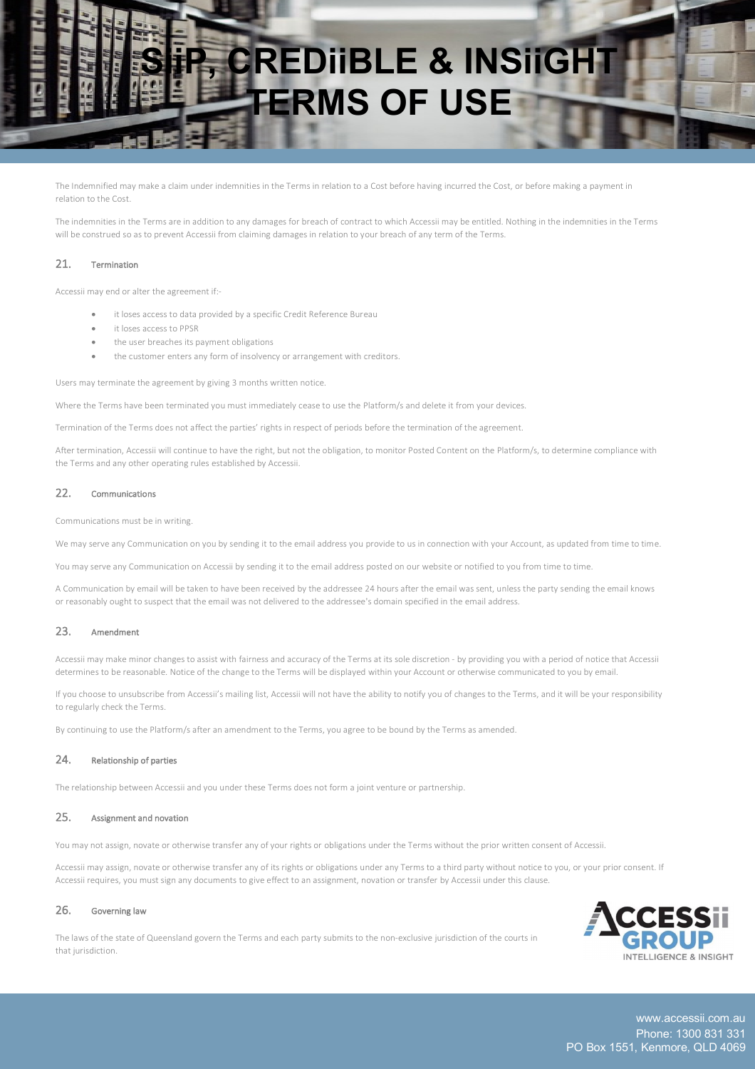

The Indemnified may make a claim under indemnities in the Terms in relation to a Cost before having incurred the Cost, or before making a payment in relation to the Cost.

The indemnities in the Terms are in addition to any damages for breach of contract to which Accessii may be entitled. Nothing in the indemnities in the Terms will be construed so as to prevent Accessii from claiming damages in relation to your breach of any term of the Terms.

# 21. Termination

Accessii may end or alter the agreement if:-

- it loses access to data provided by a specific Credit Reference Bureau
- it loses access to PPSR
- the user breaches its payment obligations
- the customer enters any form of insolvency or arrangement with creditors.

Users may terminate the agreement by giving 3 months written notice.

Where the Terms have been terminated you must immediately cease to use the Platform/s and delete it from your devices.

Termination of the Terms does not affect the parties' rights in respect of periods before the termination of the agreement.

After termination, Accessii will continue to have the right, but not the obligation, to monitor Posted Content on the Platform/s, to determine compliance with the Terms and any other operating rules established by Accessii.

# 22. Communications

Communications must be in writing.

We may serve any Communication on you by sending it to the email address you provide to us in connection with your Account, as updated from time to time.

You may serve any Communication on Accessii by sending it to the email address posted on our website or notified to you from time to time.

A Communication by email will be taken to have been received by the addressee 24 hours after the email was sent, unless the party sending the email knows or reasonably ought to suspect that the email was not delivered to the addressee's domain specified in the email address.

# 23. Amendment

Accessii may make minor changes to assist with fairness and accuracy of the Terms at its sole discretion - by providing you with a period of notice that Accessii determines to be reasonable. Notice of the change to the Terms will be displayed within your Account or otherwise communicated to you by email.

If you choose to unsubscribe from Accessii's mailing list, Accessii will not have the ability to notify you of changes to the Terms, and it will be your responsibility to regularly check the Terms.

By continuing to use the Platform/s after an amendment to the Terms, you agree to be bound by the Terms as amended.

#### 24. Relationship of parties

The relationship between Accessii and you under these Terms does not form a joint venture or partnership.

#### 25. Assignment and novation

You may not assign, novate or otherwise transfer any of your rights or obligations under the Terms without the prior written consent of Accessii.

Accessii may assign, novate or otherwise transfer any of its rights or obligations under any Terms to a third party without notice to you, or your prior consent. If Accessii requires, you must sign any documents to give effect to an assignment, novation or transfer by Accessii under this clause.

#### 26. Governing law

The laws of the state of Queensland govern the Terms and each party submits to the non-exclusive jurisdiction of the courts in that jurisdiction.

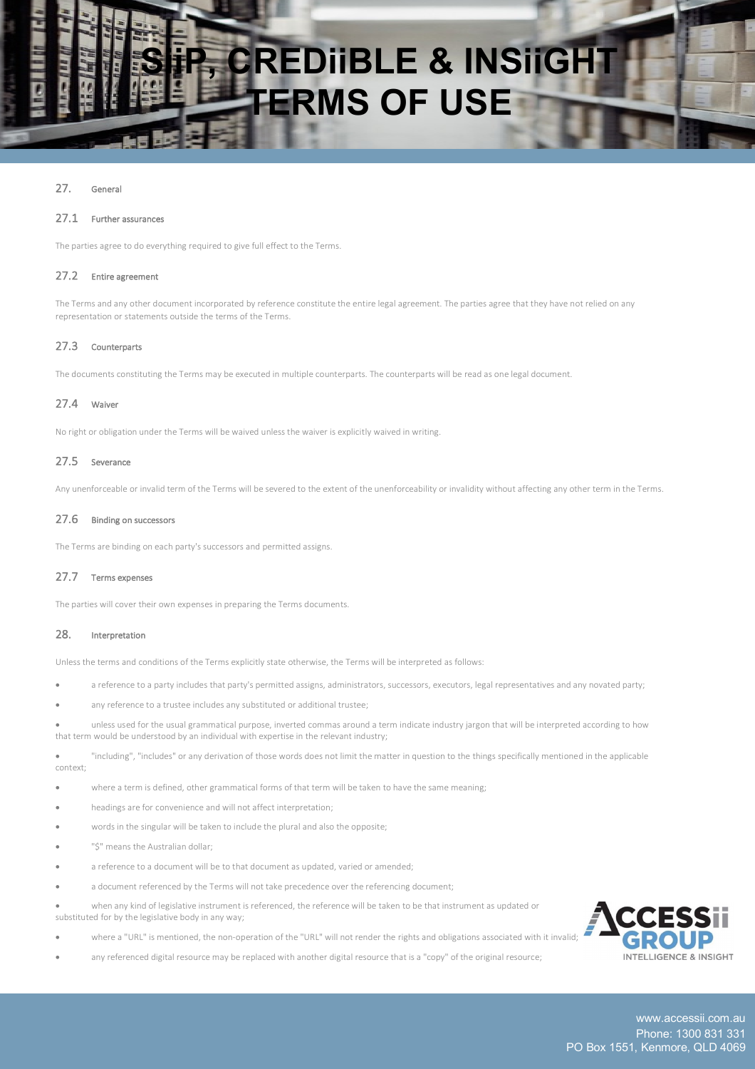

# 27. General

#### 27.1 Further assurances

The parties agree to do everything required to give full effect to the Terms.

#### 27.2 Entire agreement

The Terms and any other document incorporated by reference constitute the entire legal agreement. The parties agree that they have not relied on any representation or statements outside the terms of the Terms.

# 27.3 Counterparts

The documents constituting the Terms may be executed in multiple counterparts. The counterparts will be read as one legal document.

# 27.4 Waiver

No right or obligation under the Terms will be waived unless the waiver is explicitly waived in writing.

# 27.5 Severance

Any unenforceable or invalid term of the Terms will be severed to the extent of the unenforceability or invalidity without affecting any other term in the Terms.

#### 27.6 Binding on successors

The Terms are binding on each party's successors and permitted assigns.

# 27.7 Terms expenses

The parties will cover their own expenses in preparing the Terms documents.

# 28. Interpretation

Unless the terms and conditions of the Terms explicitly state otherwise, the Terms will be interpreted as follows:

- a reference to a party includes that party's permitted assigns, administrators, successors, executors, legal representatives and any novated party;
- any reference to a trustee includes any substituted or additional trustee;
- unless used for the usual grammatical purpose, inverted commas around a term indicate industry jargon that will be interpreted according to how that term would be understood by an individual with expertise in the relevant industry;

• "including", "includes" or any derivation of those words does not limit the matter in question to the things specifically mentioned in the applicable context;

- where a term is defined, other grammatical forms of that term will be taken to have the same meaning;
- headings are for convenience and will not affect interpretation;
- words in the singular will be taken to include the plural and also the opposite;
- "\$" means the Australian dollar:
- a reference to a document will be to that document as updated, varied or amended:
- a document referenced by the Terms will not take precedence over the referencing document;
- when any kind of legislative instrument is referenced, the reference will be taken to be that instrument as updated or substituted for by the legislative body in any way;
- where a "URL" is mentioned, the non-operation of the "URL" will not render the rights and obligations associated with it invalid;
- any referenced digital resource may be replaced with another digital resource that is a "copy" of the original resource;